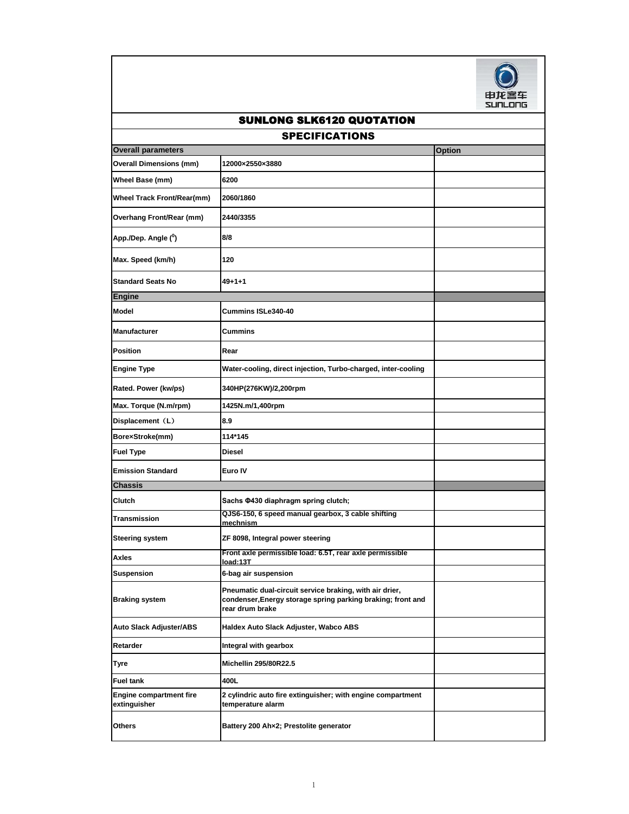

## **Option Overall Dimensions (mm) 12000×2550×3880 Wheel Base (mm) 6200 Wheel Track Front/Rear(mm) 2060/1860 Overhang Front/Rear (mm) 2440/3355 App./Dep. Angle (<sup>0</sup> ) 8/8 Max. Speed (km/h) 120 Standard Seats No 49+1+1 Model Cummins ISLe340-40 Manufacturer Cummins Position** Rear Engine Type **Water-cooling, direct injection, Turbo-charged, inter-cooling Rated. Power (kw/ps) 340HP(276KW)/2,200rpm Max. Torque (N.m/rpm) 1425N.m/1,400rpm Displacement**(**L**) **8.9 Bore×Stroke(mm) 114\*145 Fuel Type Diesel Emission Standard Euro IV Clutch Sachs Φ430 diaphragm spring clutch; Transmission QJS6-150, 6 speed manual gearbox, 3 cable shifting mechnism Steering system ZF 8098, Integral power steering Axles Front axle permissible load: 6.5T, rear axle permissible load:13T Suspension 6-bag air suspension Braking system Pneumatic dual-circuit service braking, with air drier, condenser,Energy storage spring parking braking; front and rear drum brake Auto Slack Adjuster/ABS Haldex Auto Slack Adjuster, Wabco ABS Retarder Integral with gearbox Tyre Michellin 295/80R22.5 Fuel tank 400L Engine compartment fire extinguisher 2 cylindric auto fire extinguisher; with engine compartment temperature alarm Others Battery 200 Ah×2; Prestolite generator Overall parameters Engine Chassis** SPECIFICATIONS SUNLONG SLK6120 QUOTATION